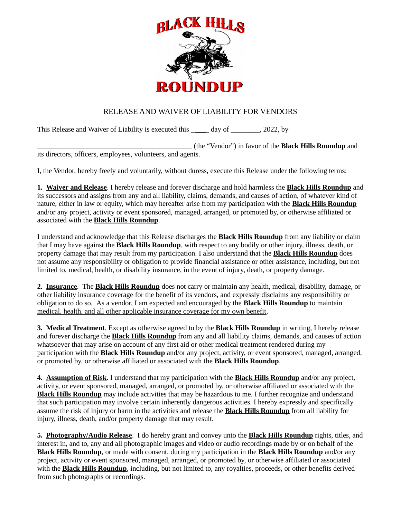

## RELEASE AND WAIVER OF LIABILITY FOR VENDORS

This Release and Waiver of Liability is executed this \_\_\_\_\_ day of \_\_\_\_\_\_\_, 2022, by

\_\_\_\_\_\_\_\_\_\_\_\_\_\_\_\_\_\_\_\_\_\_\_\_\_\_\_\_\_\_\_\_\_\_\_\_\_\_\_\_\_\_\_ (the "Vendor") in favor of the **Black Hills Roundup** and its directors, officers, employees, volunteers, and agents.

I, the Vendor, hereby freely and voluntarily, without duress, execute this Release under the following terms:

**1. Waiver and Release**. I hereby release and forever discharge and hold harmless the **Black Hills Roundup** and its successors and assigns from any and all liability, claims, demands, and causes of action, of whatever kind of nature, either in law or equity, which may hereafter arise from my participation with the **Black Hills Roundup** and/or any project, activity or event sponsored, managed, arranged, or promoted by, or otherwise affiliated or associated with the **Black Hills Roundup**.

I understand and acknowledge that this Release discharges the **Black Hills Roundup** from any liability or claim that I may have against the **Black Hills Roundup**, with respect to any bodily or other injury, illness, death, or property damage that may result from my participation. I also understand that the **Black Hills Roundup** does not assume any responsibility or obligation to provide financial assistance or other assistance, including, but not limited to, medical, health, or disability insurance, in the event of injury, death, or property damage.

**2. Insurance**. The **Black Hills Roundup** does not carry or maintain any health, medical, disability, damage, or other liability insurance coverage for the benefit of its vendors, and expressly disclaims any responsibility or obligation to do so. As a vendor, I am expected and encouraged by the **Black Hills Roundup** to maintain medical, health, and all other applicable insurance coverage for my own benefit.

**3. Medical Treatment**. Except as otherwise agreed to by the **Black Hills Roundup** in writing, I hereby release and forever discharge the **Black Hills Roundup** from any and all liability claims, demands, and causes of action whatsoever that may arise on account of any first aid or other medical treatment rendered during my participation with the **Black Hills Roundup** and/or any project, activity, or event sponsored, managed, arranged, or promoted by, or otherwise affiliated or associated with the **Black Hills Roundup**.

**4. Assumption of Risk**. I understand that my participation with the **Black Hills Roundup** and/or any project, activity, or event sponsored, managed, arranged, or promoted by, or otherwise affiliated or associated with the **Black Hills Roundup** may include activities that may be hazardous to me. I further recognize and understand that such participation may involve certain inherently dangerous activities. I hereby expressly and specifically assume the risk of injury or harm in the activities and release the **Black Hills Roundup** from all liability for injury, illness, death, and/or property damage that may result.

**5. Photography/Audio Release**. I do hereby grant and convey unto the **Black Hills Roundup** rights, titles, and interest in, and to, any and all photographic images and video or audio recordings made by or on behalf of the **Black Hills Roundup**, or made with consent, during my participation in the **Black Hills Roundup** and/or any project, activity or event sponsored, managed, arranged, or promoted by, or otherwise affiliated or associated with the **Black Hills Roundup**, including, but not limited to, any royalties, proceeds, or other benefits derived from such photographs or recordings.